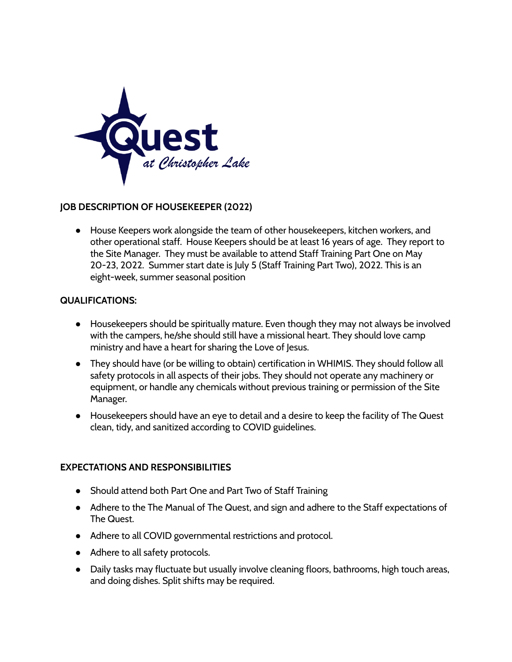

## **JOB DESCRIPTION OF HOUSEKEEPER (2022)**

● House Keepers work alongside the team of other housekeepers, kitchen workers, and other operational staff. House Keepers should be at least 16 years of age. They report to the Site Manager. They must be available to attend Staff Training Part One on May 20-23, 2022. Summer start date is July 5 (Staff Training Part Two), 2022. This is an eight-week, summer seasonal position

## **QUALIFICATIONS:**

- Housekeepers should be spiritually mature. Even though they may not always be involved with the campers, he/she should still have a missional heart. They should love camp ministry and have a heart for sharing the Love of Jesus.
- They should have (or be willing to obtain) certification in WHIMIS. They should follow all safety protocols in all aspects of their jobs. They should not operate any machinery or equipment, or handle any chemicals without previous training or permission of the Site Manager.
- Housekeepers should have an eye to detail and a desire to keep the facility of The Quest clean, tidy, and sanitized according to COVID guidelines.

## **EXPECTATIONS AND RESPONSIBILITIES**

- Should attend both Part One and Part Two of Staff Training
- Adhere to the The Manual of The Quest, and sign and adhere to the Staff expectations of The Quest.
- Adhere to all COVID governmental restrictions and protocol.
- Adhere to all safety protocols.
- Daily tasks may fluctuate but usually involve cleaning floors, bathrooms, high touch areas, and doing dishes. Split shifts may be required.